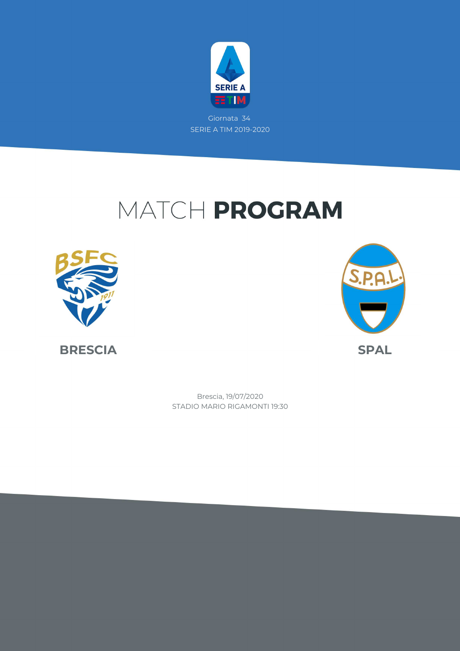

Giornata 34 SERIE A TIM 2019-2020

# MATCH PROGRAM





STADIO MARIO RIGAMONTI 19:30 Brescia, 19/07/2020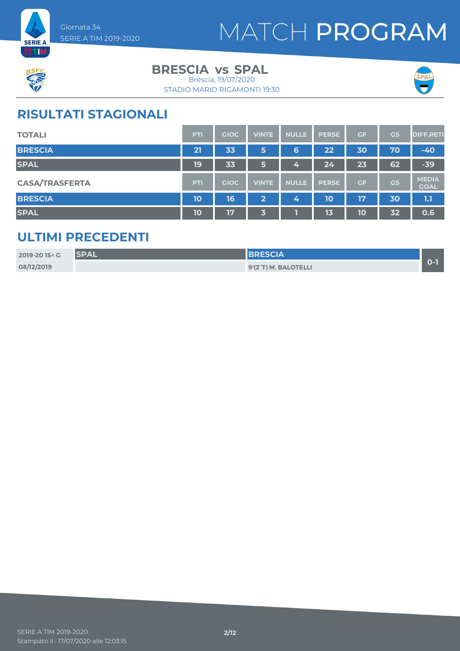



### **BRESCIA** vs SPAL

STADIO MARIO RIGAMONTI 19:30 Brescia, 19/07/2020



### **RISULTATI STAGIONALI**

| <b>TOTALI</b>         | <b>PTI</b> | <b>GIOC</b> | <b>VINTE</b>   | <b>NULLE</b> | <b>PERSE</b> | GF | <b>GS</b> | <b>DIFF.RETI</b>            |
|-----------------------|------------|-------------|----------------|--------------|--------------|----|-----------|-----------------------------|
| <b>BRESCIA</b>        | 21         | 33          | 5              | 6            | 22           | 30 | 70        | $-40$                       |
| <b>SPAL</b>           | 19         | 33          | 5              | 4            | 24           | 23 | 62        | $-39$                       |
| <b>CASA/TRASFERTA</b> | <b>PTI</b> | <b>GIOC</b> | <b>VINTE</b>   | <b>NULLE</b> | <b>PERSE</b> | GF | GS        | <b>MEDIA</b><br><b>GOAL</b> |
| <b>BRESCIA</b>        | 10         | 16          | $\overline{2}$ | 4            | 10           | 17 | 30        | 1.1                         |
| <b>SPAL</b>           | <b>10</b>  | 17          | 3              |              | 13           | 10 | 32        | 0.6                         |

### **ULTIMI PRECEDENTI**

| 2019-2015 \ G | <b>SPAL</b> | <b>BRESCIA</b>       |  |
|---------------|-------------|----------------------|--|
| 08/12/2019    |             | 9'(2°T) M. BALOTELLI |  |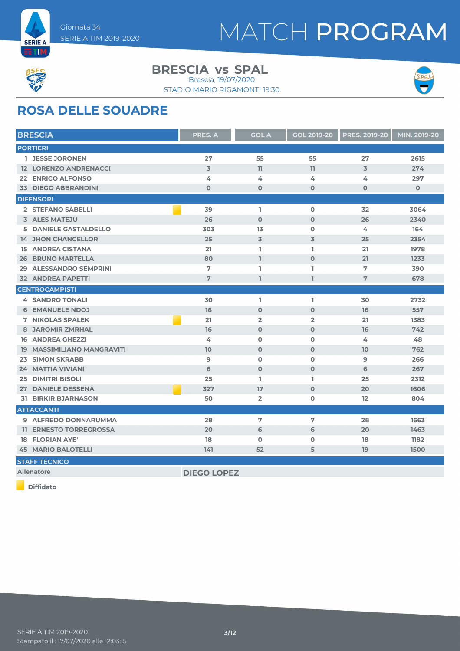



#### **BRESCIA** vs SPAL

STADIO MARIO RIGAMONTI 19:30 Brescia, 19/07/2020



### **ROSA DELLE SQUADRE**

| <b>BRESCIA</b>                            | <b>PRES. A</b>     | <b>GOL A</b>   | <b>GOL 2019-20</b> | <b>PRES. 2019-20</b> | MIN. 2019-20 |
|-------------------------------------------|--------------------|----------------|--------------------|----------------------|--------------|
| <b>PORTIERI</b>                           |                    |                |                    |                      |              |
| <b>1 JESSE JORONEN</b>                    | 27                 | 55             | 55                 | 27                   | 2615         |
| <b>12 LORENZO ANDRENACCI</b>              | $\overline{3}$     | 11             | 11                 | $\overline{3}$       | 274          |
| 22 ENRICO ALFONSO                         | 4                  | 4              | 4                  | 4                    | 297          |
| <b>33 DIEGO ABBRANDINI</b>                | $\mathbf 0$        | $\mathbf 0$    | $\mathbf 0$        | $\mathbf{O}$         | $\mathbf{O}$ |
| <b>DIFENSORI</b>                          |                    |                |                    |                      |              |
| 2 STEFANO SABELLI                         | 39                 | I.             | $\mathbf 0$        | 32                   | 3064         |
| <b>3 ALES MATEJU</b>                      | 26                 | $\mathbf 0$    | $\Omega$           | 26                   | 2340         |
| <b>5 DANIELE GASTALDELLO</b>              | 303                | 13             | $\mathbf 0$        | 4                    | 164          |
| <b>14 JHON CHANCELLOR</b>                 | 25                 | $\overline{3}$ | 3                  | 25                   | 2354         |
| <b>15 ANDREA CISTANA</b>                  | 21                 | L.             | L.                 | 21                   | 1978         |
| <b>BRUNO MARTELLA</b><br>26               | 80                 | $\mathbf{I}$   | $\mathbf 0$        | 21                   | 1233         |
| <b>ALESSANDRO SEMPRINI</b><br>29          | 7                  | L.             | ı                  | 7                    | 390          |
| <b>32 ANDREA PAPETTI</b>                  | 7                  | $\mathbf{I}$   | $\mathbf{I}$       | 7                    | 678          |
| <b>CENTROCAMPISTI</b>                     |                    |                |                    |                      |              |
| <b>4 SANDRO TONALI</b>                    | 30                 | L.             | I.                 | 30                   | 2732         |
| <b>6 EMANUELE NDOJ</b>                    | 16                 | $\mathbf 0$    | $\mathbf 0$        | 16                   | 557          |
| <b>7 NIKOLAS SPALEK</b>                   | 21                 | $\overline{2}$ | $\overline{2}$     | 21                   | 1383         |
| <b>8 JAROMIR ZMRHAL</b>                   | 16                 | $\mathbf 0$    | $\mathbf 0$        | 16                   | 742          |
| <b>16 ANDREA GHEZZI</b>                   | 4                  | $\mathbf 0$    | $\mathbf 0$        | 4                    | 48           |
| <b>MASSIMILIANO MANGRAVITI</b><br>19      | 10                 | $\mathbf 0$    | $\mathbf 0$        | 10                   | 762          |
| <b>SIMON SKRABB</b><br>23                 | $\overline{9}$     | $\mathbf 0$    | $\Omega$           | 9                    | 266          |
| <b>24 MATTIA VIVIANI</b>                  | 6                  | $\Omega$       | $\Omega$           | 6                    | 267          |
| <b>DIMITRI BISOLI</b><br>25               | 25                 | L.             | L.                 | 25                   | 2312         |
| <b>DANIELE DESSENA</b><br>27 <sub>2</sub> | 327                | 17             | $\mathbf 0$        | 20                   | 1606         |
| <b>31 BIRKIR BJARNASON</b>                | 50                 | $\overline{2}$ | $\mathbf 0$        | 12                   | 804          |
| <b>ATTACCANTI</b>                         |                    |                |                    |                      |              |
| 9 ALFREDO DONNARUMMA                      | 28                 | 7              | 7                  | 28                   | 1663         |
| <b>11 ERNESTO TORREGROSSA</b>             | 20                 | 6              | 6                  | 20                   | 1463         |
| <b>18 FLORIAN AYE'</b>                    | 18                 | $\mathbf 0$    | $\mathbf 0$        | 18                   | 1182         |
| <b>45 MARIO BALOTELLI</b>                 | 141                | 52             | 5                  | 19                   | 1500         |
| <b>STAFF TECNICO</b>                      |                    |                |                    |                      |              |
| <b>Allenatore</b>                         | <b>DIEGO LOPEZ</b> |                |                    |                      |              |

**Diffidato**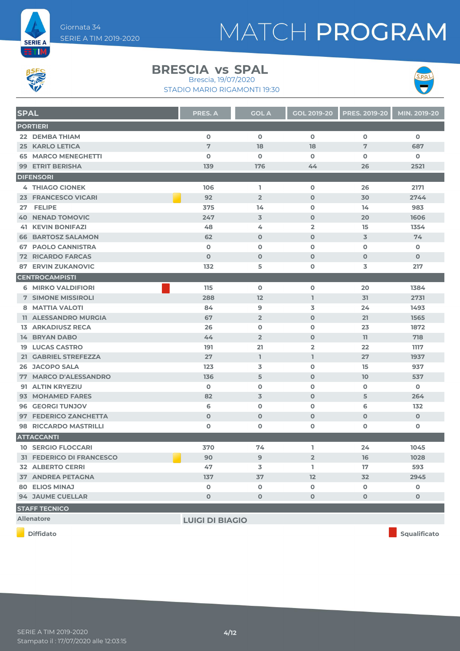



#### **BRESCIA** vs SPAL

STADIO MARIO RIGAMONTI 19:30 Brescia, 19/07/2020



**SPAL PRES. A COLA GOL 2019-20 PRES. 2019-20 MIN. 2019-20 PORTIERI DEMBA THIAM 0 0 0 0 0 KARLO LETICA 7 18 18 7 687 MARCO MENEGHETTI 0 0 0 0 0 ETRIT BERISHA 139 176 44 26 2521 DIFENSORI THIAGO CIONEK 106 1 0 26 2171 FRANCESCO VICARI 92 2 0 30 2744 27 FELIPE 375 14 0 14 983 NENAD TOMOVIC 247 3 0 20 1606 KEVIN BONIFAZI 48 4 2 15 1354 BARTOSZ SALAMON 62 0 0 3 74 PAOLO CANNISTRA 0 0 0 0 0 RICARDO FARCAS 0 0 0 0 0 ERVIN ZUKANOVIC 132 5 0 3 217 CENTROCAMPISTI MIRKO VALDIFIORI 115 0 0 20 1384 SIMONE MISSIROLI 288 12 1 31 2731 MATTIA VALOTI 84 9 3 24 1493 ALESSANDRO MURGIA 67 2 0 21 1565 ARKADIUSZ RECA 26 0 0 23 1872 BRYAN DABO 44 2 0 11 718 LUCAS CASTRO 191 21 2 22 1117 GABRIEL STREFEZZA 27 1 1 27 1937 JACOPO SALA 123 3 0 15 937 MARCO D'ALESSANDRO 136 5 0 10 537 ALTIN KRYEZIU 0 0 0 0 0 MOHAMED FARES 82 3 0 5 264 GEORGI TUNJOV 6 0 0 6 132 FEDERICO ZANCHETTA 0 0 0 0 0 RICCARDO MASTRILLI 0 0 0 0 0 ATTACCANTI SERGIO FLOCCARI 370 74 1 24 1045 FEDERICO DI FRANCESCO 90 9 2 16 1028 ALBERTO CERRI 47 3 1 17 593 ANDREA PETAGNA 137 37 12 32 2945 ELIOS MINAJ 0 0 0 0 0 JAUME CUELLAR 0 0 0 0 0 STAFF TECNICO**

**Allenatore LUIGI DI BIAGIO**

**Diffidato Squalificato**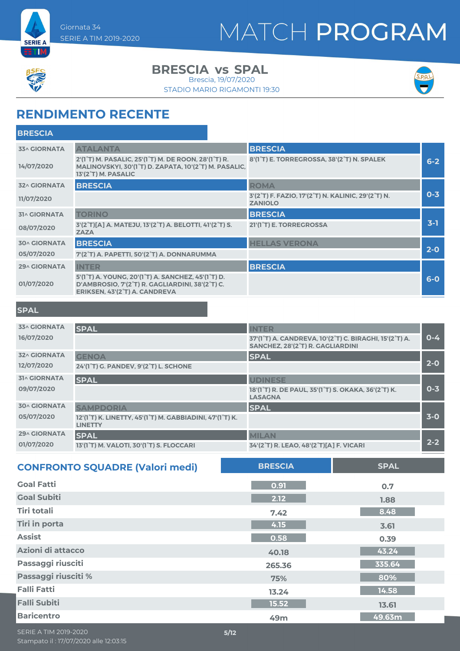



**ETM** 

**BRESCIA** vs SPAL

Brescia, 19/07/2020

STADIO MARIO RIGAMONTI 19:30



### **RENDIMENTO RECENTE**

| <b>BRESCIA</b>      |                                                                                                                                                                             |                                                                      |         |
|---------------------|-----------------------------------------------------------------------------------------------------------------------------------------------------------------------------|----------------------------------------------------------------------|---------|
| <b>33^ GIORNATA</b> | <b>ATALANTA</b>                                                                                                                                                             | <b>BRESCIA</b>                                                       |         |
| 14/07/2020          | 2'(1 <sup>°</sup> T) M. PASALIC, 25'(1 <sup>°</sup> T) M. DE ROON, 28'(1 <sup>°</sup> T) R.<br>MALINOVSKYI, 30'(1°T) D. ZAPATA, 10'(2°T) M. PASALIC,<br>13'(2°T) M. PASALIC | 8'(1°T) E. TORREGROSSA, 38'(2°T) N. SPALEK                           | $6 - 2$ |
| <b>32^ GIORNATA</b> | <b>BRESCIA</b>                                                                                                                                                              | <b>ROMA</b>                                                          |         |
| 11/07/2020          |                                                                                                                                                                             | 3'(2°T) F. FAZIO, 17'(2°T) N. KALINIC, 29'(2°T) N.<br><b>ZANIOLO</b> | $0 - 3$ |
| <b>31^ GIORNATA</b> | <b>TORINO</b>                                                                                                                                                               | <b>BRESCIA</b>                                                       |         |
| 08/07/2020          | 3'(2°T)[A] A. MATEJU, 13'(2°T) A. BELOTTI, 41'(2°T) S.<br><b>ZAZA</b>                                                                                                       | 21'(1 <sup>°</sup> T) E. TORREGROSSA                                 | $3-1$   |
| <b>30^ GIORNATA</b> | <b>BRESCIA</b>                                                                                                                                                              | <b>HELLAS VERONA</b>                                                 |         |
| 05/07/2020          | 7'(2°T) A. PAPETTI, 50'(2°T) A. DONNARUMMA                                                                                                                                  |                                                                      | $2-0$   |
| <b>29^ GIORNATA</b> | <b>INTER</b>                                                                                                                                                                | <b>BRESCIA</b>                                                       |         |
| 01/07/2020          | 5'(1°T) A. YOUNG, 20'(1°T) A. SANCHEZ, 45'(1°T) D.<br>D'AMBROSIO, 7'(2°T) R. GAGLIARDINI, 38'(2°T) C.<br>ERIKSEN, 43'(2°T) A. CANDREVA                                      |                                                                      | $6-0$   |

#### **SPAL**

| <b>33^ GIORNATA</b> | <b>SPAL</b>                                                                | <b>INTER</b>                                                                                                 |         |
|---------------------|----------------------------------------------------------------------------|--------------------------------------------------------------------------------------------------------------|---------|
| 16/07/2020          |                                                                            | 37'(1°T) A. CANDREVA, 10'(2°T) C. BIRAGHI, 15'(2°T) A.<br>SANCHEZ, 28'(2°T) R. GAGLIARDINI                   | $0 - 4$ |
| <b>32^ GIORNATA</b> | <b>GENOA</b>                                                               | <b>SPAL</b>                                                                                                  |         |
| 12/07/2020          | 24'(1°T) G. PANDEV, 9'(2°T) L. SCHONE                                      |                                                                                                              | $2 - 0$ |
| <b>31^ GIORNATA</b> | <b>SPAL</b>                                                                | <b>UDINESE</b>                                                                                               |         |
| 09/07/2020          |                                                                            | 18'(1 <sup>°</sup> T) R. DE PAUL, 35'(1 <sup>°</sup> T) S. OKAKA, 36'(2 <sup>°</sup> T) K.<br><b>LASAGNA</b> | $0 - 3$ |
| <b>30^ GIORNATA</b> | <b>SAMPDORIA</b>                                                           | <b>SPAL</b>                                                                                                  |         |
| 05/07/2020          | 12'(1°T) K. LINETTY, 45'(1°T) M. GABBIADINI, 47'(1°T) K.<br><b>LINETTY</b> |                                                                                                              | $3-0$   |
| 29^ GIORNATA        | <b>SPAL</b>                                                                | <b>MILAN</b>                                                                                                 |         |
| 01/07/2020          | 13'(1°T) M. VALOTI, 30'(1°T) S. FLOCCARI                                   | 34'(2°T) R. LEAO, 48'(2°T)[A] F. VICARI                                                                      | $2 - 2$ |

| <b>CONFRONTO SQUADRE (Valori medi)</b> | <b>BRESCIA</b> | <b>SPAL</b> |
|----------------------------------------|----------------|-------------|
| <b>Goal Fatti</b>                      | 0.91           | 0.7         |
| <b>Goal Subiti</b>                     | 2.12           | 1.88        |
| <b>Tiri totali</b>                     | 7.42           | 8.48        |
| <b>Tiri in porta</b>                   | 4.15           | 3.61        |
| <b>Assist</b>                          | 0.58           | 0.39        |
| Azioni di attacco                      | 40.18          | 43.24       |
| Passaggi riusciti                      | 265.36         | 335.64      |
| Passaggi riusciti %                    | 75%            | 80%         |
| <b>Falli Fatti</b>                     | 13.24          | 14.58       |
| <b>Falli Subiti</b>                    | 15.52          | 13.61       |
| <b>Baricentro</b>                      | 49m            | 49.63m      |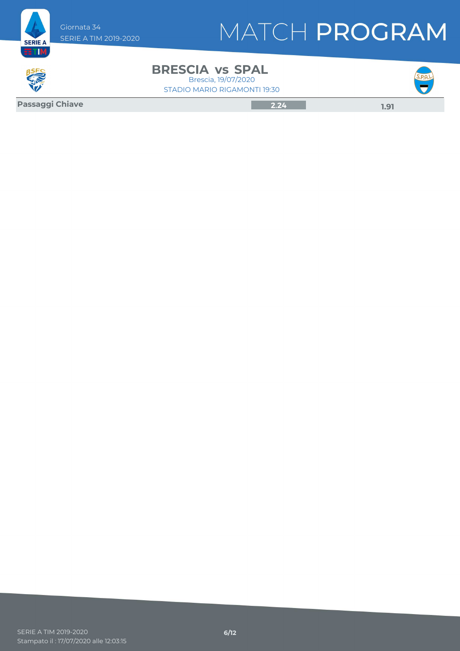



**BRESCIA** vs SPAL STADIO MARIO RIGAMONTI 19:30 Brescia, 19/07/2020



**Passaggi Chiave 2.24 1.91**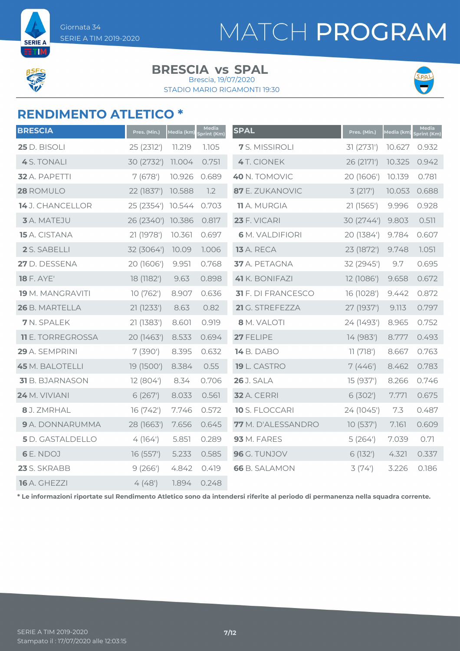

**SERIE A ETM** 

#### **BRESCIA** vs SPAL

STADIO MARIO RIGAMONTI 19:30 Brescia, 19/07/2020



### **RENDIMENTO ATLETICO \***

| <b>BRESCIA</b>           | Pres. (Min.) | Media (km) | Media<br>Sprint (Km) | <b>SPAL</b>               | Pres. (Min.) | Media (km) | Media<br>Sprint (Km) |
|--------------------------|--------------|------------|----------------------|---------------------------|--------------|------------|----------------------|
| 25 D. BISOLI             | 25 (2312')   | 11.219     | 1.105                | 7 S. MISSIROLI            | 31 (2731')   | 10.627     | 0.932                |
| 4 S. TONALI              | 30 (2732')   | 11.004     | 0.751                | <b>4</b> T. CIONEK        | 26 (2171')   | 10.325     | 0.942                |
| 32 A. PAPETTI            | 7(678)       | 10.926     | 0.689                | 40 N. TOMOVIC             | 20 (1606')   | 10.139     | 0.781                |
| 28 ROMULO                | 22 (1837')   | 10.588     | 1.2                  | 87 E. ZUKANOVIC           | 3(217)       | 10.053     | 0.688                |
| 14 J. CHANCELLOR         | 25 (2354')   | 10.544     | 0.703                | <b>11</b> A. MURGIA       | 21 (1565')   | 9.996      | 0.928                |
| <b>3</b> A. MATEJU       | 26 (2340')   | 10.386     | 0.817                | 23 F. VICARI              | 30 (2744')   | 9.803      | 0.511                |
| 15 A. CISTANA            | 21 (1978')   | 10.361     | 0.697                | <b>6</b> M. VALDIFIORI    | 20 (1384')   | 9.784      | 0.607                |
| 2 S. SABELLI             | 32 (3064')   | 10.09      | 1.006                | <b>13</b> A. RECA         | 23 (1872')   | 9.748      | 7.051                |
| 27 D. DESSENA            | 20 (1606')   | 9.951      | 0.768                | 37 A. PETAGNA             | 32 (2945')   | 9.7        | 0.695                |
| <b>18 F. AYE'</b>        | 18 (1182')   | 9.63       | 0.898                | 41 K. BONIFAZI            | 12 (1086')   | 9.658      | 0.672                |
| 19 M. MANGRAVITI         | 10 (762')    | 8.907      | 0.636                | <b>31</b> F. DI FRANCESCO | 16 (1028')   | 9.442      | 0.872                |
| 26 B. MARTELLA           | 21(1233')    | 8.63       | 0.82                 | 21 G. STREFEZZA           | 27 (1937')   | 9.113      | 0.797                |
| 7 N. SPALEK              | 21(1383)     | 8.601      | 0.919                | 8 M. VALOTI               | 24 (1493')   | 8.965      | 0.752                |
| <b>11</b> E. TORREGROSSA | 20 (1463')   | 8.533      | 0.694                | 27 FELIPE                 | 14 (983')    | 8.777      | 0.493                |
| 29 A. SEMPRINI           | 7(390)       | 8.395      | 0.632                | <b>14</b> B. DABO         | 11(718)      | 8.667      | 0.763                |
| <b>45</b> M. BALOTELLI   | 19 (1500')   | 8.384      | 0.55                 | 19 L. CASTRO              | 7(446)       | 8.462      | 0.783                |
| 31 B. BJARNASON          | 12 (804')    | 8.34       | 0.706                | <b>26</b> J. SALA         | 15 (937')    | 8.266      | 0.746                |
| 24 M. VIVIANI            | 6(267)       | 8.033      | 0.561                | <b>32</b> A. CERRI        | 6(302)       | 7.771      | 0.675                |
| 8 J. ZMRHAL              | 16 (742')    | 7.746      | 0.572                | <b>10</b> S. FLOCCARI     | 24 (1045')   | 7.3        | 0.487                |
| 9 A. DONNARUMMA          | 28 (1663')   | 7.656      | 0.645                | 77 M. D'ALESSANDRO        | 10(537)      | 7.161      | 0.609                |
| <b>5</b> D. GASTALDELLO  | 4(164)       | 5.851      | 0.289                | <b>93</b> M. FARES        | 5(264)       | 7.039      | 0.71                 |
| <b>6</b> E. NDOJ         | 16 (557')    | 5.233      | 0.585                | 96 G. TUNJOV              | 6(132)       | 4.321      | 0.337                |
| 23 S. SKRABB             | 9(266')      | 4.842      | 0.419                | <b>66</b> B. SALAMON      | 3(74)        | 3.226      | 0.186                |
| <b>16</b> A. GHEZZI      | 4(48)        | 1.894      | 0.248                |                           |              |            |                      |

**\* Le informazioni riportate sul Rendimento Atletico sono da intendersi riferite al periodo di permanenza nella squadra corrente.**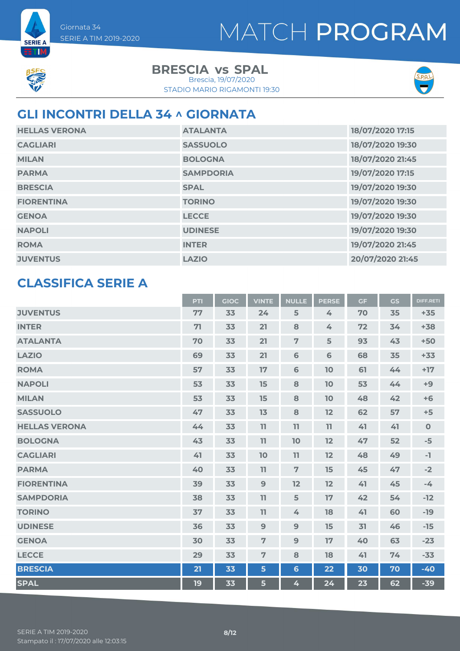

**SERIE A ETM** 

> **BRESCIA** vs SPAL Brescia, 19/07/2020

STADIO MARIO RIGAMONTI 19:30



### **GLI INCONTRI DELLA 34 ^ GIORNATA**

| <b>HELLAS VERONA</b> | <b>ATALANTA</b>  | 18/07/2020 17:15 |
|----------------------|------------------|------------------|
| <b>CAGLIARI</b>      | <b>SASSUOLO</b>  | 18/07/2020 19:30 |
| <b>MILAN</b>         | <b>BOLOGNA</b>   | 18/07/2020 21:45 |
| <b>PARMA</b>         | <b>SAMPDORIA</b> | 19/07/2020 17:15 |
| <b>BRESCIA</b>       | <b>SPAL</b>      | 19/07/2020 19:30 |
| <b>FIORENTINA</b>    | <b>TORINO</b>    | 19/07/2020 19:30 |
| <b>GENOA</b>         | <b>LECCE</b>     | 19/07/2020 19:30 |
| <b>NAPOLI</b>        | <b>UDINESE</b>   | 19/07/2020 19:30 |
| <b>ROMA</b>          | <b>INTER</b>     | 19/07/2020 21:45 |
| <b>JUVENTUS</b>      | <b>LAZIO</b>     | 20/07/2020 21:45 |

### **CLASSIFICA SERIE A**

|                      | <b>PTI</b> | <b>GIOC</b> | <b>VINTE</b>   | <b>NULLE</b>   | <b>PERSE</b> | <b>GF</b> | GS | <b>DIFF.RETI</b> |
|----------------------|------------|-------------|----------------|----------------|--------------|-----------|----|------------------|
| <b>JUVENTUS</b>      | 77         | 33          | 24             | 5              | 4            | 70        | 35 | $+35$            |
| <b>INTER</b>         | 71         | 33          | 21             | 8              | 4            | 72        | 34 | $+38$            |
| <b>ATALANTA</b>      | 70         | 33          | 21             | $\overline{7}$ | 5            | 93        | 43 | $+50$            |
| <b>LAZIO</b>         | 69         | 33          | 21             | 6              | 6            | 68        | 35 | $+33$            |
| <b>ROMA</b>          | 57         | 33          | 17             | 6              | 10           | 61        | 44 | $+17$            |
| <b>NAPOLI</b>        | 53         | 33          | 15             | 8              | 10           | 53        | 44 | $+9$             |
| <b>MILAN</b>         | 53         | 33          | 15             | 8              | 10           | 48        | 42 | $+6$             |
| <b>SASSUOLO</b>      | 47         | 33          | 13             | 8              | 12           | 62        | 57 | $+5$             |
| <b>HELLAS VERONA</b> | 44         | 33          | 11             | 11             | 11           | 41        | 41 | $\mathbf{0}$     |
| <b>BOLOGNA</b>       | 43         | 33          | 11             | 10             | 12           | 47        | 52 | $-5$             |
| <b>CAGLIARI</b>      | 41         | 33          | 10             | 11             | 12           | 48        | 49 | -1               |
| <b>PARMA</b>         | 40         | 33          | 11             | $\overline{7}$ | 15           | 45        | 47 | $-2$             |
| <b>FIORENTINA</b>    | 39         | 33          | $\overline{9}$ | 12             | 12           | 41        | 45 | $-4$             |
| <b>SAMPDORIA</b>     | 38         | 33          | 11             | 5              | 17           | 42        | 54 | $-12$            |
| <b>TORINO</b>        | 37         | 33          | 11             | 4              | 18           | 41        | 60 | $-19$            |
| <b>UDINESE</b>       | 36         | 33          | $\overline{9}$ | 9              | 15           | 31        | 46 | $-15$            |
| <b>GENOA</b>         | 30         | 33          | $\overline{7}$ | 9              | 17           | 40        | 63 | $-23$            |
| <b>LECCE</b>         | 29         | 33          | $\overline{7}$ | 8              | 18           | 41        | 74 | $-33$            |
| <b>BRESCIA</b>       | 21         | 33          | 5              | $6\phantom{1}$ | 22           | 30        | 70 | $-40$            |
| <b>SPAL</b>          | 19         | 33          | 5              | 4              | 24           | 23        | 62 | $-39$            |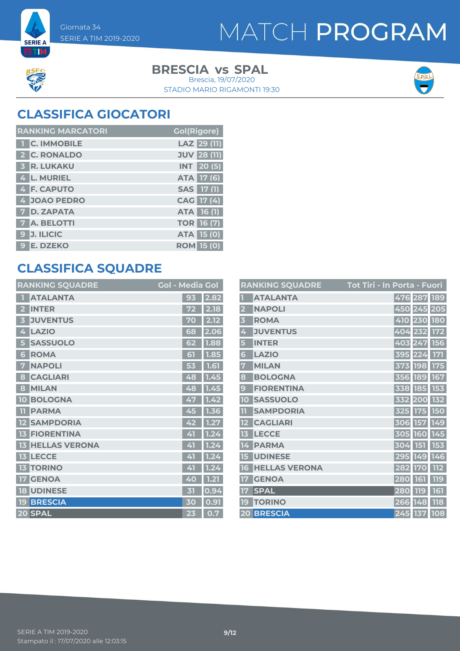



**SERIE A ETM** 

> **BRESCIA** vs SPAL Brescia, 19/07/2020

STADIO MARIO RIGAMONTI 19:30



### **CLASSIFICA GIOCATORI**

| <b>RANKING MARCATORI</b> | <b>Gol(Rigore)</b> |
|--------------------------|--------------------|
| 1 C. IMMOBILE            | LAZ 29 (11)        |
| 2 C. RONALDO             | <b>JUV 28 (11)</b> |
| <b>3 R. LUKAKU</b>       | <b>INT</b> 20(5)   |
| 4 L. MURIEL              | ATA 17 (6)         |
| 4 F. CAPUTO              | SAS 17 (1)         |
| 4 JOAO PEDRO             | CAG 17 (4)         |
| <b>7 D. ZAPATA</b>       | ATA 16 (1)         |
| <b>7</b> A. BELOTTI      | <b>TOR 16 (7)</b>  |
| 9 J. ILICIC              | <b>ATA 15 (0)</b>  |
| 9 E. DZEKO               | <b>ROM 15 (0)</b>  |

### **CLASSIFICA SQUADRE**

| <b>RANKING SQUADRE</b>     | <b>Gol - Media Gol</b> |      |
|----------------------------|------------------------|------|
| <b>ATALANTA</b>            | 93                     | 2.82 |
| <b>INTER</b>               | 72                     | 2.18 |
| <b>JUVENTUS</b><br>3       | 70                     | 2.12 |
| <b>LAZIO</b><br>4          | 68                     | 2.06 |
| <b>SASSUOLO</b><br>5       | 62                     | 1.88 |
| <b>ROMA</b><br>6           | 61                     | 1.85 |
| <b>NAPOLI</b><br>7         | 53                     | 1.61 |
| <b>CAGLIARI</b><br>8       | 48                     | 1.45 |
| <b>MILAN</b><br>8          | 48                     | 1.45 |
| <b>BOLOGNA</b><br>10       | 47                     | 1.42 |
| <b>PARMA</b><br>m          | 45                     | 1.36 |
| <b>SAMPDORIA</b>           | 42                     | 1.27 |
| <b>FIORENTINA</b><br>13    | 41                     | 1.24 |
| <b>HELLAS VERONA</b><br>13 | 41                     | 1.24 |
| <b>13 LECCE</b>            | 41                     | 1.24 |
| <b>TORINO</b><br>13        | 41                     | 1.24 |
| <b>GENOA</b><br>17         | 40                     | 1.21 |
| <b>UDINESE</b><br>18       | 31                     | 0.94 |
| <b>BRESCIA</b><br>19       | 30                     | 0.91 |
| 20 SPAL                    | 23                     | 0.7  |

|                         | <b>RANKING SQUADRE</b> | <u> Tot Tiri - In Porta - Fuori</u> |            |
|-------------------------|------------------------|-------------------------------------|------------|
|                         | <b>ATALANTA</b>        | 476 287                             | 189        |
| $\overline{\mathbf{2}}$ | <b>NAPOLI</b>          | 450 245 205                         |            |
| $\overline{\mathbf{3}}$ | <b>ROMA</b>            | 410 230 180                         |            |
| 4                       | <b>JUVENTUS</b>        | 404 232 172                         |            |
| 5                       | <b>INTER</b>           | 403 247 156                         |            |
| 6                       | <b>LAZIO</b>           | 395 224                             | <b>171</b> |
| 7                       | <b>MILAN</b>           | 373 198                             | 175        |
| 8                       | <b>BOLOGNA</b>         | 356 189 167                         |            |
| 9                       | <b>FIORENTINA</b>      | 338 185 153                         |            |
| 10                      | <b>SASSUOLO</b>        | 332 200 132                         |            |
| $\mathbf{1}$            | <b>SAMPDORIA</b>       | 325 175                             | <b>150</b> |
| 12                      | <b>CAGLIARI</b>        | 306 157                             | 149        |
| 13                      | <b>LECCE</b>           | 305 160 145                         |            |
| 14                      | <b>PARMA</b>           | 304 151 153                         |            |
| 15                      | <b>UDINESE</b>         | 295 149 146                         |            |
| 16                      | <b>HELLAS VERONA</b>   | 282 170                             | <b>112</b> |
| 17                      | <b>GENOA</b>           | 280 161                             | 119        |
| 17                      | <b>SPAL</b>            | 280<br><b>119</b>                   | 161        |
| 19 <sub>1</sub>         | <b>TORINO</b>          | 266 148                             | 118        |
|                         | 20 BRESCIA             | 245 137 108                         |            |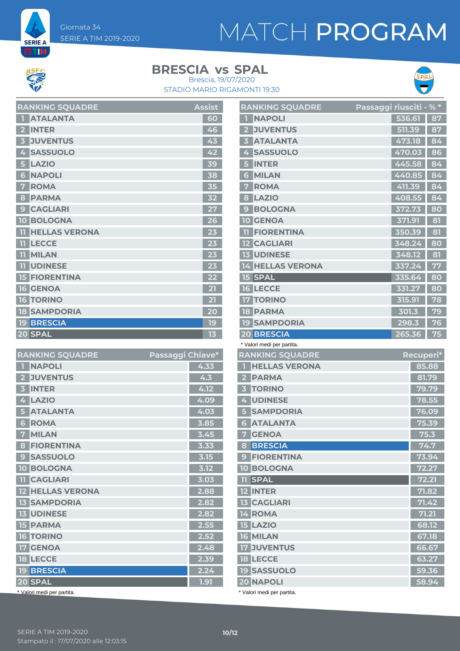Giornata 34 SERIE A TIM 2019-2020

# MATCH PROGRAM



**SERIE A** ETM.

**BRESCIA** vs SPAL



STADIO MARIO RIGAMONTI 19:30 Brescia, 19/07/2020

| <b>RANKING SQUADRE</b>     | <b>Assist</b> |
|----------------------------|---------------|
| <b>ATALANTA</b>            | 60            |
| <b>INTER</b>               | 46            |
| <b>JUVENTUS</b>            | 43            |
| <b>SASSUOLO</b><br>4       | 42            |
| <b>LAZIO</b><br>5          | 39            |
| <b>NAPOLI</b><br>6         | 38            |
| <b>ROMA</b>                | 35            |
| <b>PARMA</b><br>8          | 32            |
| <b>CAGLIARI</b><br>9       | 27            |
| <b>10 BOLOGNA</b>          | 26            |
| <b>HELLAS VERONA</b><br>וו | 23            |
| <b>LECCE</b><br>m          | 23            |
| <b>MILAN</b>               | 23            |
| <b>UDINESE</b><br>m        | 23            |
| <b>15 FIORENTINA</b>       | 22            |
| <b>16 GENOA</b>            | 21            |
| <b>16 TORINO</b>           | 21            |
| <b>18 SAMPDORIA</b>        | 20            |
| <b>19 BRESCIA</b>          | 19            |
| 20 SPAL                    | 13            |

| <b>RANKING SQUADRE</b>          | Passaggi Chiave* |      |
|---------------------------------|------------------|------|
| <b>NAPOLI</b><br>П              |                  | 4.33 |
| <b>JUVENTUS</b>                 |                  | 4.3  |
| <b>INTER</b><br>3               |                  | 4.12 |
| <b>LAZIO</b><br>4               |                  | 4.09 |
| <b>ATALANTA</b>                 |                  | 4.03 |
| <b>ROMA</b><br>6                |                  | 3.85 |
| <b>MILAN</b><br>7               |                  | 3.45 |
| <b>FIORENTINA</b><br>8          |                  | 3.33 |
| <b>SASSUOLO</b><br>$\mathbf{C}$ |                  | 3.15 |
| <b>BOLOGNA</b><br>10            |                  | 3.12 |
| <b>TI</b> CAGLIARI              |                  | 3.03 |
| <b>12 HELLAS VERONA</b>         |                  | 2.88 |
| <b>13 SAMPDORIA</b>             |                  | 2.82 |
| <b>13 UDINESE</b>               |                  | 2.82 |
| <b>15 PARMA</b>                 |                  | 2.55 |
| <b>16 TORINO</b>                |                  | 2.52 |
| <b>GENOA</b><br>17 <sup>7</sup> |                  | 2.48 |
| <b>18 LECCE</b>                 |                  | 2.39 |
| <b>19 BRESCIA</b>               |                  | 2.24 |
| 20 SPAL                         |                  | 1.91 |
| * Valori medi per partita.      |                  |      |

|                | <b>RANKING SQUADRE</b>     | <u>Passaggi riusciti - % *</u> |        |           |       |
|----------------|----------------------------|--------------------------------|--------|-----------|-------|
| п              | <b>NAPOLI</b>              |                                | 536.61 |           | 87    |
| 2 <sup>1</sup> | <b>JUVENTUS</b>            |                                | 511.39 |           | 87    |
| 3              | <b>ATALANTA</b>            |                                | 473.18 |           | 84    |
| 4              | <b>SASSUOLO</b>            |                                | 470.03 |           | 86    |
| 5              | <b>INTER</b>               |                                | 445.58 |           | 84    |
| 6              | <b>MILAN</b>               |                                | 440.85 |           | 84    |
| 7              | <b>ROMA</b>                |                                | 411.39 |           | 84    |
| 8              | <b>LAZIO</b>               |                                | 408.55 |           | 84    |
| $\mathbf{g}$   | <b>BOLOGNA</b>             |                                | 372.73 |           | 80    |
| $10-10$        | <b>GENOA</b>               |                                | 371.91 |           | 81    |
| 11             | <b>FIORENTINA</b>          |                                | 350.39 |           | 81    |
|                | <b>12 CAGLIARI</b>         |                                | 348.24 |           | 80    |
|                | <b>13 UDINESE</b>          |                                | 348.12 |           | 81    |
|                | <b>14 HELLAS VERONA</b>    |                                | 337.24 |           | 77    |
|                | <b>15 SPAL</b>             |                                | 335.64 |           | 80    |
|                | <b>16 LECCE</b>            |                                | 331.27 |           | 80    |
|                | <b>17 TORINO</b>           |                                | 315.91 |           | 78    |
|                | <b>18 PARMA</b>            |                                | 301.3  |           | 79    |
|                | <b>19 SAMPDORIA</b>        |                                | 298.3  |           | 76    |
|                | <b>20 BRESCIA</b>          |                                | 265.36 |           | 75    |
|                | * Valori medi per partita. |                                |        |           |       |
|                | <b>RANKING SQUADRE</b>     |                                |        | Recuperi* |       |
| П              | <b>HELLAS VERONA</b>       |                                |        |           | 85.88 |
|                | 2 PARMA                    |                                |        |           | 81.79 |
| 3 <sup>1</sup> | <b>TORINO</b>              |                                |        |           | 79.79 |
|                | 4 UDINESE                  |                                |        |           | 78.55 |
| 5              | <b>SAMPDORIA</b>           |                                |        |           | 76.09 |

| <b>PARMA</b><br>2                 | 81.79 |
|-----------------------------------|-------|
| <b>TORINO</b><br>3                | 79.79 |
| <b>UDINESE</b><br>4               | 78.55 |
| <b>SAMPDORIA</b><br>5             | 76.09 |
| <b>ATALANTA</b><br>6              | 75.39 |
| <b>GENOA</b><br>7                 | 75.3  |
| <b>BRESCIA</b><br>8               | 74.7  |
| <b>FIORENTINA</b><br>$\mathbf{C}$ | 73.94 |
| <b>BOLOGNA</b><br>10              | 72.27 |
| <b>SPAL</b><br>11                 | 72.21 |
| <b>INTER</b>                      | 71.82 |
| <b>CAGLIARI</b><br><b>13</b>      | 71.42 |
| <b>ROMA</b><br>4                  | 71.21 |
| <b>LAZIO</b><br>15                | 68.12 |
| <b>MILAN</b><br>16                | 67.18 |
| <b>JUVENTUS</b><br>17             | 66.67 |
| <b>18 LECCE</b>                   | 63.27 |
| <b>SASSUOLO</b><br>19             | 59.36 |
| <b>20 NAPOLI</b>                  | 58.94 |
|                                   |       |

\* Valori medi per partita.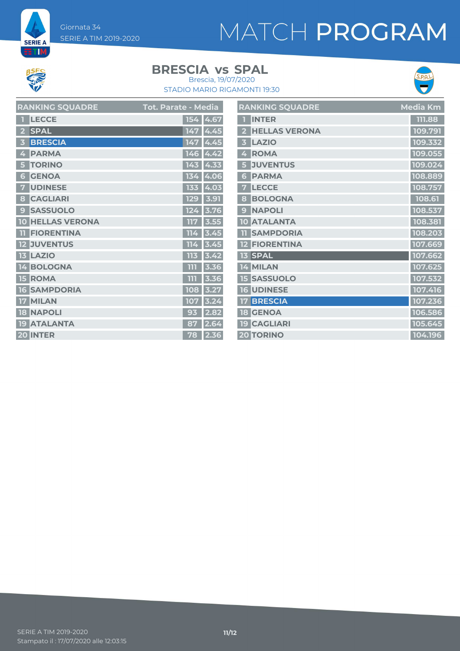Giornata 34 SERIE A TIM 2019-2020

# MATCH PROGRAM



**SERIE A** ET M

### **BRESCIA** vs SPAL





| <b>RANKING SQUADRE</b>  | Tot. Parate - Media | <b>RANKING SQUADRE</b> | <b>Media Km</b> |
|-------------------------|---------------------|------------------------|-----------------|
| <b>T</b> LECCE          | 154 4.67            | <b>T</b> INTER         | 111.88          |
| <b>SPAL</b>             | $147$ 4.45          | 2 HELLAS VERONA        | 109.791         |
| <b>3 BRESCIA</b>        | $147$ 4.45          | 3 LAZIO                | 109.332         |
| 4 PARMA                 | $146$ 4.42          | 4 ROMA                 | 109.055         |
| <b>5 TORINO</b>         | 143 4.33            | <b>5 JUVENTUS</b>      | 109.024         |
| <b>6 GENOA</b>          | 134 4.06            | <b>6 PARMA</b>         | 108.889         |
| <b>UDINESE</b>          | 133 4.03            | <b>7 LECCE</b>         | 108.757         |
| 8 CAGLIARI              | 129 3.91            | 8 BOLOGNA              | 108.61          |
| <b>9 SASSUOLO</b>       | $124$ 3.76          | 9 NAPOLI               | 108.537         |
| <b>10 HELLAS VERONA</b> | 117 3.55            | 10 ATALANTA            | 108.381         |
| <b>TI FIORENTINA</b>    | $114$ 3.45          | <b>TI SAMPDORIA</b>    | 108.203         |
| <b>12 JUVENTUS</b>      | $114$ 3.45          | <b>12 FIORENTINA</b>   | 107.669         |
| <b>13 LAZIO</b>         | $113$ 3.42          | 13 SPAL                | 107.662         |
| 14 BOLOGNA              | $111$ 3.36          | 14 MILAN               | 107.625         |
| <b>15 ROMA</b>          | $111$ 3.36          | <b>15 SASSUOLO</b>     | 107.532         |
| <b>16 SAMPDORIA</b>     | 108 3.27            | <b>16 UDINESE</b>      | 107.416         |
| 17 MILAN                | $107$ 3.24          | <b>17 BRESCIA</b>      | 107.236         |
| <b>18 NAPOLI</b>        | $93 \mid 2.82$      | <b>18 GENOA</b>        | 106.586         |
| 19 ATALANTA             | 87 2.64             | <b>19 CAGLIARI</b>     | 105.645         |
| 20 INTER                | 78 2.36             | 20 TORINO              | 104.196         |